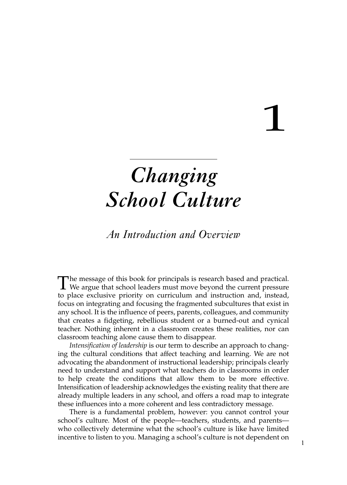# *Changing School Culture*

# *An Introduction and Overview*

The message of this book for principals is research based and practical.<br>We argue that school leaders must move beyond the current pressure to place exclusive priority on curriculum and instruction and, instead, focus on integrating and focusing the fragmented subcultures that exist in any school. It is the influence of peers, parents, colleagues, and community that creates a fidgeting, rebellious student or a burned-out and cynical teacher. Nothing inherent in a classroom creates these realities, nor can classroom teaching alone cause them to disappear.

*Intensification of leadership* is our term to describe an approach to changing the cultural conditions that affect teaching and learning. We are not advocating the abandonment of instructional leadership; principals clearly need to understand and support what teachers do in classrooms in order to help create the conditions that allow them to be more effective. Intensification of leadership acknowledges the existing reality that there are already multiple leaders in any school, and offers a road map to integrate these influences into a more coherent and less contradictory message.

There is a fundamental problem, however: you cannot control your school's culture. Most of the people—teachers, students, and parents who collectively determine what the school's culture is like have limited incentive to listen to you. Managing a school's culture is not dependent on

1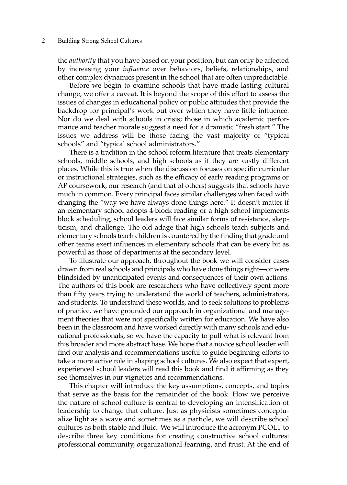the *authority* that you have based on your position, but can only be affected by increasing your *influence* over behaviors, beliefs, relationships, and other complex dynamics present in the school that are often unpredictable.

Before we begin to examine schools that have made lasting cultural change, we offer a caveat. It is beyond the scope of this effort to assess the issues of changes in educational policy or public attitudes that provide the backdrop for principal's work but over which they have little influence. Nor do we deal with schools in crisis; those in which academic performance and teacher morale suggest a need for a dramatic "fresh start." The issues we address will be those facing the vast majority of "typical schools" and "typical school administrators."

There is a tradition in the school reform literature that treats elementary schools, middle schools, and high schools as if they are vastly different places. While this is true when the discussion focuses on specific curricular or instructional strategies, such as the efficacy of early reading programs or AP coursework, our research (and that of others) suggests that schools have much in common. Every principal faces similar challenges when faced with changing the "way we have always done things here." It doesn't matter if an elementary school adopts 4-block reading or a high school implements block scheduling, school leaders will face similar forms of resistance, skepticism, and challenge. The old adage that high schools teach subjects and elementary schools teach children is countered by the finding that grade and other teams exert influences in elementary schools that can be every bit as powerful as those of departments at the secondary level.

To illustrate our approach, throughout the book we will consider cases drawn from real schools and principals who have done things right—or were blindsided by unanticipated events and consequences of their own actions. The authors of this book are researchers who have collectively spent more than fifty years trying to understand the world of teachers, administrators, and students. To understand these worlds, and to seek solutions to problems of practice, we have grounded our approach in organizational and management theories that were not specifically written for education. We have also been in the classroom and have worked directly with many schools and educational professionals, so we have the capacity to pull what is relevant from this broader and more abstract base. We hope that a novice school leader will find our analysis and recommendations useful to guide beginning efforts to take a more active role in shaping school cultures. We also expect that expert, experienced school leaders will read this book and find it affirming as they see themselves in our vignettes and recommendations.

This chapter will introduce the key assumptions, concepts, and topics that serve as the basis for the remainder of the book. How we perceive the nature of school culture is central to developing an intensification of leadership to change that culture. Just as physicists sometimes conceptualize light as a wave and sometimes as a particle, we will describe school cultures as both stable and fluid. We will introduce the acronym PCOLT to describe three key conditions for creating constructive school cultures: *p*rofessional *c*ommunity, *o*rganizational *l*earning, and *t*rust. At the end of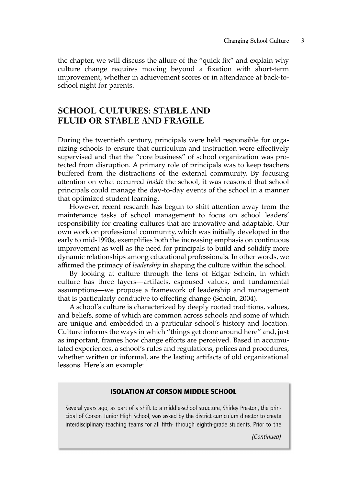the chapter, we will discuss the allure of the "quick fix" and explain why culture change requires moving beyond a fixation with short-term improvement, whether in achievement scores or in attendance at back-toschool night for parents.

# **SCHOOL CULTURES: STABLE AND FLUID OR STABLE AND FRAGILE**

During the twentieth century, principals were held responsible for organizing schools to ensure that curriculum and instruction were effectively supervised and that the "core business" of school organization was protected from disruption. A primary role of principals was to keep teachers buffered from the distractions of the external community. By focusing attention on what occurred *inside* the school, it was reasoned that school principals could manage the day-to-day events of the school in a manner that optimized student learning.

However, recent research has begun to shift attention away from the maintenance tasks of school management to focus on school leaders' responsibility for creating cultures that are innovative and adaptable. Our own work on professional community, which was initially developed in the early to mid-1990s, exemplifies both the increasing emphasis on continuous improvement as well as the need for principals to build and solidify more dynamic relationships among educational professionals. In other words, we affirmed the primacy of *leadership* in shaping the culture within the school.

By looking at culture through the lens of Edgar Schein, in which culture has three layers—artifacts, espoused values, and fundamental assumptions—we propose a framework of leadership and management that is particularly conducive to effecting change (Schein, 2004).

A school's culture is characterized by deeply rooted traditions, values, and beliefs, some of which are common across schools and some of which are unique and embedded in a particular school's history and location. Culture informs the ways in which "things get done around here" and, just as important, frames how change efforts are perceived. Based in accumulated experiences, a school's rules and regulations, polices and procedures, whether written or informal, are the lasting artifacts of old organizational lessons. Here's an example:

## **ISOLATION AT CORSON MIDDLE SCHOOL**

Several years ago, as part of a shift to a middle-school structure, Shirley Preston, the principal of Corson Junior High School, was asked by the district curriculum director to create interdisciplinary teaching teams for all fifth- through eighth-grade students. Prior to the

*(Continued)*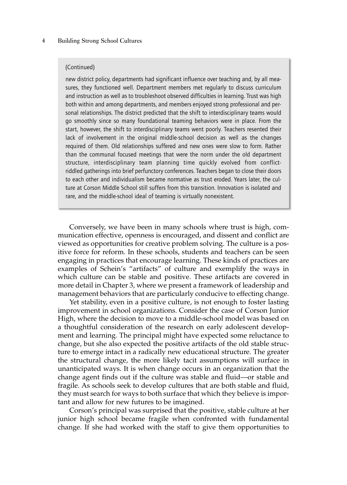#### (Continued)

new district policy, departments had significant influence over teaching and, by all measures, they functioned well. Department members met regularly to discuss curriculum and instruction as well as to troubleshoot observed difficulties in learning. Trust was high both within and among departments, and members enjoyed strong professional and personal relationships. The district predicted that the shift to interdisciplinary teams would go smoothly since so many foundational teaming behaviors were in place. From the start, however, the shift to interdisciplinary teams went poorly. Teachers resented their lack of involvement in the original middle-school decision as well as the changes required of them. Old relationships suffered and new ones were slow to form. Rather than the communal focused meetings that were the norm under the old department structure, interdisciplinary team planning time quickly evolved from conflictriddled gatherings into brief perfunctory conferences. Teachers began to close their doors to each other and individualism became normative as trust eroded. Years later, the culture at Corson Middle School still suffers from this transition. Innovation is isolated and rare, and the middle-school ideal of teaming is virtually nonexistent.

Conversely, we have been in many schools where trust is high, communication effective, openness is encouraged, and dissent and conflict are viewed as opportunities for creative problem solving. The culture is a positive force for reform. In these schools, students and teachers can be seen engaging in practices that encourage learning. These kinds of practices are examples of Schein's "artifacts" of culture and exemplify the ways in which culture can be stable and positive. These artifacts are covered in more detail in Chapter 3, where we present a framework of leadership and management behaviors that are particularly conducive to effecting change.

Yet stability, even in a positive culture, is not enough to foster lasting improvement in school organizations. Consider the case of Corson Junior High, where the decision to move to a middle-school model was based on a thoughtful consideration of the research on early adolescent development and learning. The principal might have expected some reluctance to change, but she also expected the positive artifacts of the old stable structure to emerge intact in a radically new educational structure. The greater the structural change, the more likely tacit assumptions will surface in unanticipated ways. It is when change occurs in an organization that the change agent finds out if the culture was stable and fluid—or stable and fragile. As schools seek to develop cultures that are both stable and fluid, they must search for ways to both surface that which they believe is important and allow for new futures to be imagined.

Corson's principal was surprised that the positive, stable culture at her junior high school became fragile when confronted with fundamental change. If she had worked with the staff to give them opportunities to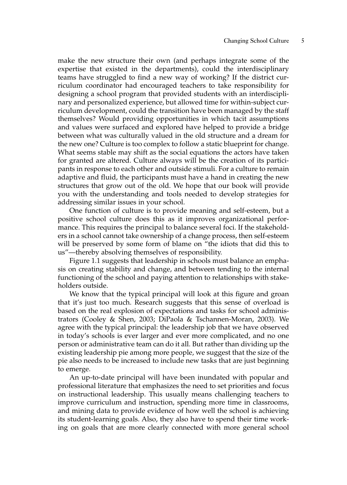make the new structure their own (and perhaps integrate some of the expertise that existed in the departments), could the interdisciplinary teams have struggled to find a new way of working? If the district curriculum coordinator had encouraged teachers to take responsibility for designing a school program that provided students with an interdisciplinary and personalized experience, but allowed time for within-subject curriculum development, could the transition have been managed by the staff themselves? Would providing opportunities in which tacit assumptions and values were surfaced and explored have helped to provide a bridge between what was culturally valued in the old structure and a dream for the new one? Culture is too complex to follow a static blueprint for change. What seems stable may shift as the social equations the actors have taken for granted are altered. Culture always will be the creation of its participants in response to each other and outside stimuli. For a culture to remain adaptive and fluid, the participants must have a hand in creating the new structures that grow out of the old. We hope that our book will provide you with the understanding and tools needed to develop strategies for addressing similar issues in your school.

One function of culture is to provide meaning and self-esteem, but a positive school culture does this as it improves organizational performance. This requires the principal to balance several foci. If the stakeholders in a school cannot take ownership of a change process, then self-esteem will be preserved by some form of blame on "the idiots that did this to us"—thereby absolving themselves of responsibility.

Figure 1.1 suggests that leadership in schools must balance an emphasis on creating stability and change, and between tending to the internal functioning of the school and paying attention to relationships with stakeholders outside.

We know that the typical principal will look at this figure and groan that it's just too much. Research suggests that this sense of overload is based on the real explosion of expectations and tasks for school administrators (Cooley & Shen, 2003; DiPaola & Tschannen-Moran, 2003). We agree with the typical principal: the leadership job that we have observed in today's schools is ever larger and ever more complicated, and no one person or administrative team can do it all. But rather than dividing up the existing leadership pie among more people, we suggest that the size of the pie also needs to be increased to include new tasks that are just beginning to emerge.

An up-to-date principal will have been inundated with popular and professional literature that emphasizes the need to set priorities and focus on instructional leadership. This usually means challenging teachers to improve curriculum and instruction, spending more time in classrooms, and mining data to provide evidence of how well the school is achieving its student-learning goals. Also, they also have to spend their time working on goals that are more clearly connected with more general school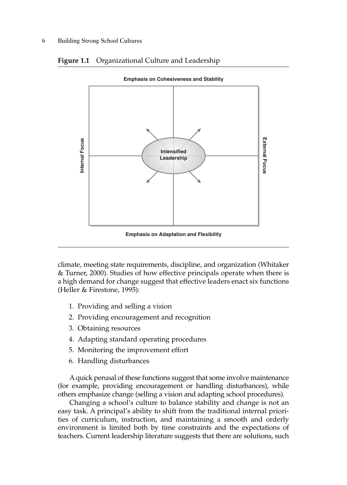

**Figure 1.1** Organizational Culture and Leadership

**Emphasis on Adaptation and Flexibility**

climate, meeting state requirements, discipline, and organization (Whitaker & Turner, 2000). Studies of how effective principals operate when there is a high demand for change suggest that effective leaders enact six functions (Heller & Firestone, 1995):

- 1. Providing and selling a vision
- 2. Providing encouragement and recognition
- 3. Obtaining resources
- 4. Adapting standard operating procedures
- 5. Monitoring the improvement effort
- 6. Handling disturbances

Aquick perusal of these functions suggest that some involve maintenance (for example, providing encouragement or handling disturbances), while others emphasize change (selling a vision and adapting school procedures).

Changing a school's culture to balance stability and change is not an easy task. A principal's ability to shift from the traditional internal priorities of curriculum, instruction, and maintaining a smooth and orderly environment is limited both by time constraints and the expectations of teachers. Current leadership literature suggests that there are solutions, such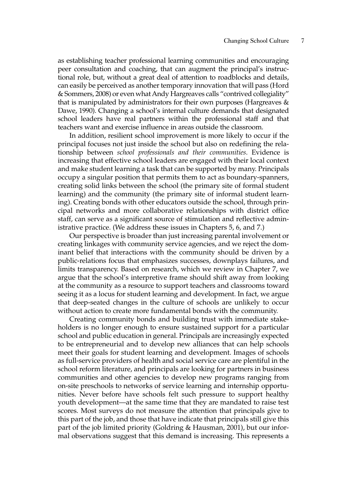as establishing teacher professional learning communities and encouraging peer consultation and coaching, that can augment the principal's instructional role, but, without a great deal of attention to roadblocks and details, can easily be perceived as another temporary innovation that will pass (Hord & Sommers, 2008) or even whatAndy Hargreaves calls "contrived collegiality" that is manipulated by administrators for their own purposes (Hargreaves  $\&$ Dawe, 1990). Changing a school's internal culture demands that designated school leaders have real partners within the professional staff and that teachers want and exercise influence in areas outside the classroom.

In addition, resilient school improvement is more likely to occur if the principal focuses not just inside the school but also on redefining the relationship between *school professionals and their communities*. Evidence is increasing that effective school leaders are engaged with their local context and make student learning a task that can be supported by many. Principals occupy a singular position that permits them to act as boundary-spanners, creating solid links between the school (the primary site of formal student learning) and the community (the primary site of informal student learning). Creating bonds with other educators outside the school, through principal networks and more collaborative relationships with district office staff, can serve as a significant source of stimulation and reflective administrative practice. (We address these issues in Chapters 5, 6, and 7.)

Our perspective is broader than just increasing parental involvement or creating linkages with community service agencies, and we reject the dominant belief that interactions with the community should be driven by a public-relations focus that emphasizes successes, downplays failures, and limits transparency. Based on research, which we review in Chapter 7, we argue that the school's interpretive frame should shift away from looking at the community as a resource to support teachers and classrooms toward seeing it as a locus for student learning and development. In fact, we argue that deep-seated changes in the culture of schools are unlikely to occur without action to create more fundamental bonds with the community.

Creating community bonds and building trust with immediate stakeholders is no longer enough to ensure sustained support for a particular school and public education in general. Principals are increasingly expected to be entrepreneurial and to develop new alliances that can help schools meet their goals for student learning and development. Images of schools as full-service providers of health and social service care are plentiful in the school reform literature, and principals are looking for partners in business communities and other agencies to develop new programs ranging from on-site preschools to networks of service learning and internship opportunities. Never before have schools felt such pressure to support healthy youth development—at the same time that they are mandated to raise test scores. Most surveys do not measure the attention that principals give to this part of the job, and those that have indicate that principals still give this part of the job limited priority (Goldring & Hausman, 2001), but our informal observations suggest that this demand is increasing. This represents a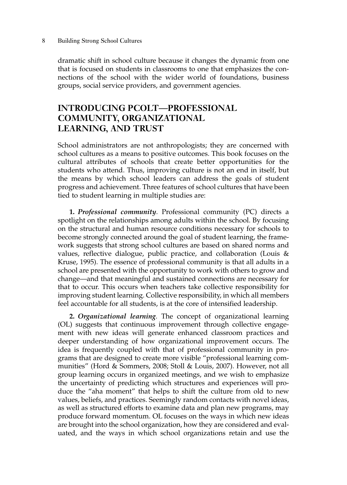dramatic shift in school culture because it changes the dynamic from one that is focused on students in classrooms to one that emphasizes the connections of the school with the wider world of foundations, business groups, social service providers, and government agencies.

# **INTRODUCING PCOLT—PROFESSIONAL COMMUNITY, ORGANIZATIONAL LEARNING, AND TRUST**

School administrators are not anthropologists; they are concerned with school cultures as a means to positive outcomes. This book focuses on the cultural attributes of schools that create better opportunities for the students who attend. Thus, improving culture is not an end in itself, but the means by which school leaders can address the goals of student progress and achievement. Three features of school cultures that have been tied to student learning in multiple studies are:

**1.** *Professional community*. Professional community (PC) directs a spotlight on the relationships among adults within the school. By focusing on the structural and human resource conditions necessary for schools to become strongly connected around the goal of student learning, the framework suggests that strong school cultures are based on shared norms and values, reflective dialogue, public practice, and collaboration (Louis & Kruse, 1995). The essence of professional community is that all adults in a school are presented with the opportunity to work with others to grow and change—and that meaningful and sustained connections are necessary for that to occur. This occurs when teachers take collective responsibility for improving student learning. Collective responsibility, in which all members feel accountable for all students, is at the core of intensified leadership.

**2.** *Organizational learning*. The concept of organizational learning (OL) suggests that continuous improvement through collective engagement with new ideas will generate enhanced classroom practices and deeper understanding of how organizational improvement occurs. The idea is frequently coupled with that of professional community in programs that are designed to create more visible "professional learning communities" (Hord & Sommers, 2008; Stoll & Louis, 2007). However, not all group learning occurs in organized meetings, and we wish to emphasize the uncertainty of predicting which structures and experiences will produce the "aha moment" that helps to shift the culture from old to new values, beliefs, and practices. Seemingly random contacts with novel ideas, as well as structured efforts to examine data and plan new programs, may produce forward momentum. OL focuses on the ways in which new ideas are brought into the school organization, how they are considered and evaluated, and the ways in which school organizations retain and use the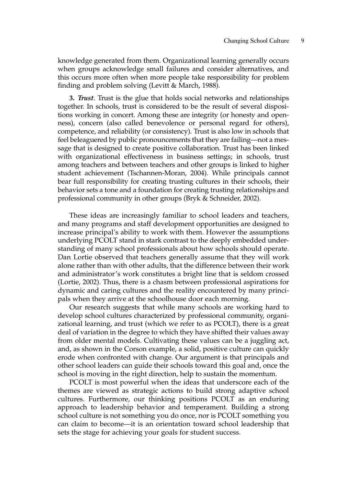knowledge generated from them. Organizational learning generally occurs when groups acknowledge small failures and consider alternatives, and this occurs more often when more people take responsibility for problem finding and problem solving (Levitt & March, 1988).

**3.** *Trust*. Trust is the glue that holds social networks and relationships together. In schools, trust is considered to be the result of several dispositions working in concert. Among these are integrity (or honesty and openness), concern (also called benevolence or personal regard for others), competence, and reliability (or consistency). Trust is also low in schools that feel beleaguered by public pronouncements that they are failing—not a message that is designed to create positive collaboration. Trust has been linked with organizational effectiveness in business settings; in schools, trust among teachers and between teachers and other groups is linked to higher student achievement (Tschannen-Moran, 2004). While principals cannot bear full responsibility for creating trusting cultures in their schools, their behavior sets a tone and a foundation for creating trusting relationships and professional community in other groups (Bryk & Schneider, 2002).

These ideas are increasingly familiar to school leaders and teachers, and many programs and staff development opportunities are designed to increase principal's ability to work with them. However the assumptions underlying PCOLT stand in stark contrast to the deeply embedded understanding of many school professionals about how schools should operate. Dan Lortie observed that teachers generally assume that they will work alone rather than with other adults, that the difference between their work and administrator's work constitutes a bright line that is seldom crossed (Lortie, 2002). Thus, there is a chasm between professional aspirations for dynamic and caring cultures and the reality encountered by many principals when they arrive at the schoolhouse door each morning.

Our research suggests that while many schools are working hard to develop school cultures characterized by professional community, organizational learning, and trust (which we refer to as PCOLT), there is a great deal of variation in the degree to which they have shifted their values away from older mental models. Cultivating these values can be a juggling act, and, as shown in the Corson example, a solid, positive culture can quickly erode when confronted with change. Our argument is that principals and other school leaders can guide their schools toward this goal and, once the school is moving in the right direction, help to sustain the momentum.

PCOLT is most powerful when the ideas that underscore each of the themes are viewed as strategic actions to build strong adaptive school cultures. Furthermore, our thinking positions PCOLT as an enduring approach to leadership behavior and temperament. Building a strong school culture is not something you do once, nor is PCOLT something you can claim to become—it is an orientation toward school leadership that sets the stage for achieving your goals for student success.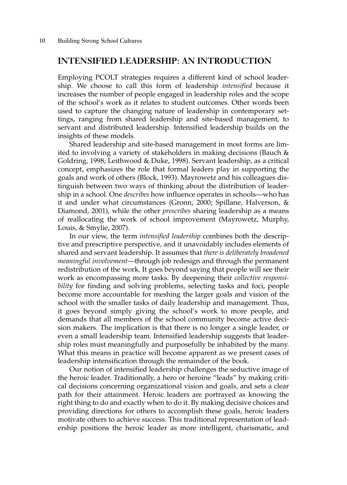## **INTENSIFIED LEADERSHIP: AN INTRODUCTION**

Employing PCOLT strategies requires a different kind of school leadership. We choose to call this form of leadership *intensified* because it increases the number of people engaged in leadership roles and the scope of the school's work as it relates to student outcomes. Other words been used to capture the changing nature of leadership in contemporary settings, ranging from shared leadership and site-based management, to servant and distributed leadership. Intensified leadership builds on the insights of these models.

Shared leadership and site-based management in most forms are limited to involving a variety of stakeholders in making decisions (Bauch & Goldring, 1998; Leithwood & Duke, 1998). Servant leadership, as a critical concept, emphasizes the role that formal leaders play in supporting the goals and work of others (Block, 1993). Mayrowetz and his colleagues distinguish between two ways of thinking about the distribution of leadership in a school. One *describes* how influence operates in schools—who has it and under what circumstances (Gronn, 2000; Spillane, Halverson, & Diamond, 2001), while the other *prescribes* sharing leadership as a means of reallocating the work of school improvement (Mayrowetz, Murphy, Louis, & Smylie, 2007).

In our view, the term *intensified leadership* combines both the descriptive and prescriptive perspective, and it unavoidably includes elements of shared and servant leadership. It assumes that *there is deliberately broadened meaningful involvement*—through job redesign and through the permanent redistribution of the work. It goes beyond saying that people will see their work as encompassing more tasks. By deepening their *collective responsibility* for finding and solving problems, selecting tasks and foci, people become more accountable for meshing the larger goals and vision of the school with the smaller tasks of daily leadership and management. Thus, it goes beyond simply giving the school's work to more people, and demands that all members of the school community become active decision makers. The implication is that there is no longer a single leader, or even a small leadership team. Intensified leadership suggests that leadership roles must meaningfully and purposefully be inhabited by the many. What this means in practice will become apparent as we present cases of leadership intensification through the remainder of the book.

Our notion of intensified leadership challenges the seductive image of the heroic leader. Traditionally, a hero or heroine "leads" by making critical decisions concerning organizational vision and goals, and sets a clear path for their attainment. Heroic leaders are portrayed as knowing the right thing to do and exactly when to do it. By making decisive choices and providing directions for others to accomplish these goals, heroic leaders motivate others to achieve success. This traditional representation of leadership positions the heroic leader as more intelligent, charismatic, and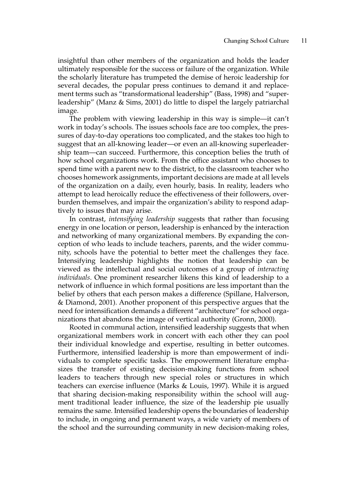insightful than other members of the organization and holds the leader ultimately responsible for the success or failure of the organization. While the scholarly literature has trumpeted the demise of heroic leadership for several decades, the popular press continues to demand it and replacement terms such as "transformational leadership" (Bass, 1998) and "superleadership" (Manz & Sims, 2001) do little to dispel the largely patriarchal image.

The problem with viewing leadership in this way is simple—it can't work in today's schools. The issues schools face are too complex, the pressures of day-to-day operations too complicated, and the stakes too high to suggest that an all-knowing leader—or even an all-knowing superleadership team—can succeed. Furthermore, this conception belies the truth of how school organizations work. From the office assistant who chooses to spend time with a parent new to the district, to the classroom teacher who chooses homework assignments, important decisions are made at all levels of the organization on a daily, even hourly, basis. In reality, leaders who attempt to lead heroically reduce the effectiveness of their followers, overburden themselves, and impair the organization's ability to respond adaptively to issues that may arise.

In contrast, *intensifying leadership* suggests that rather than focusing energy in one location or person, leadership is enhanced by the interaction and networking of many organizational members. By expanding the conception of who leads to include teachers, parents, and the wider community, schools have the potential to better meet the challenges they face. Intensifying leadership highlights the notion that leadership can be viewed as the intellectual and social outcomes of a group of *interacting individuals*. One prominent researcher likens this kind of leadership to a network of influence in which formal positions are less important than the belief by others that each person makes a difference (Spillane, Halverson, & Diamond, 2001). Another proponent of this perspective argues that the need for intensification demands a different "architecture" for school organizations that abandons the image of vertical authority (Gronn, 2000).

Rooted in communal action, intensified leadership suggests that when organizational members work in concert with each other they can pool their individual knowledge and expertise, resulting in better outcomes. Furthermore, intensified leadership is more than empowerment of individuals to complete specific tasks. The empowerment literature emphasizes the transfer of existing decision-making functions from school leaders to teachers through new special roles or structures in which teachers can exercise influence (Marks & Louis, 1997). While it is argued that sharing decision-making responsibility within the school will augment traditional leader influence, the size of the leadership pie usually remains the same. Intensified leadership opens the boundaries of leadership to include, in ongoing and permanent ways, a wide variety of members of the school and the surrounding community in new decision-making roles,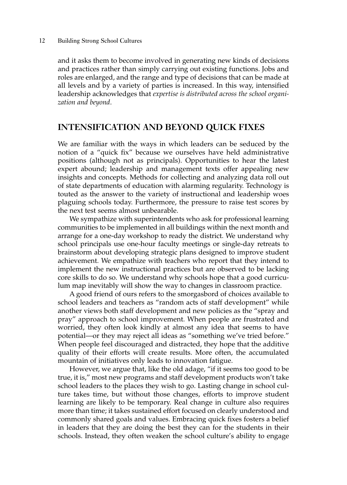and it asks them to become involved in generating new kinds of decisions and practices rather than simply carrying out existing functions. Jobs and roles are enlarged, and the range and type of decisions that can be made at all levels and by a variety of parties is increased. In this way, intensified leadership acknowledges that *expertise is distributed across the school organization and beyond*.

## **INTENSIFICATION AND BEYOND QUICK FIXES**

We are familiar with the ways in which leaders can be seduced by the notion of a "quick fix" because we ourselves have held administrative positions (although not as principals). Opportunities to hear the latest expert abound; leadership and management texts offer appealing new insights and concepts. Methods for collecting and analyzing data roll out of state departments of education with alarming regularity. Technology is touted as the answer to the variety of instructional and leadership woes plaguing schools today. Furthermore, the pressure to raise test scores by the next test seems almost unbearable.

We sympathize with superintendents who ask for professional learning communities to be implemented in all buildings within the next month and arrange for a one-day workshop to ready the district. We understand why school principals use one-hour faculty meetings or single-day retreats to brainstorm about developing strategic plans designed to improve student achievement. We empathize with teachers who report that they intend to implement the new instructional practices but are observed to be lacking core skills to do so. We understand why schools hope that a good curriculum map inevitably will show the way to changes in classroom practice.

A good friend of ours refers to the smorgasbord of choices available to school leaders and teachers as "random acts of staff development" while another views both staff development and new policies as the "spray and pray" approach to school improvement. When people are frustrated and worried, they often look kindly at almost any idea that seems to have potential—or they may reject all ideas as "something we've tried before." When people feel discouraged and distracted, they hope that the additive quality of their efforts will create results. More often, the accumulated mountain of initiatives only leads to innovation fatigue.

However, we argue that, like the old adage, "if it seems too good to be true, it is," most new programs and staff development products won't take school leaders to the places they wish to go. Lasting change in school culture takes time, but without those changes, efforts to improve student learning are likely to be temporary. Real change in culture also requires more than time; it takes sustained effort focused on clearly understood and commonly shared goals and values. Embracing quick fixes fosters a belief in leaders that they are doing the best they can for the students in their schools. Instead, they often weaken the school culture's ability to engage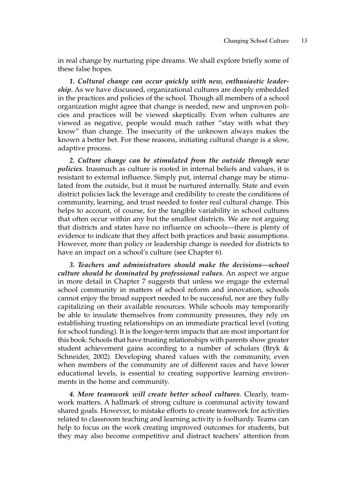in real change by nurturing pipe dreams. We shall explore briefly some of these false hopes.

*1. Cultural change can occur quickly with new, enthusiastic leadership.* As we have discussed, organizational cultures are deeply embedded in the practices and policies of the school. Though all members of a school organization might agree that change is needed, new and unproven policies and practices will be viewed skeptically. Even when cultures are viewed as negative, people would much rather "stay with what they know" than change. The insecurity of the unknown always makes the known a better bet. For these reasons, initiating cultural change is a slow, adaptive process.

*2. Culture change can be stimulated from the outside through new policies*. Inasmuch as culture is rooted in internal beliefs and values, it is resistant to external influence. Simply put, internal change may be stimulated from the outside, but it must be nurtured internally. State and even district policies lack the leverage and credibility to create the conditions of community, learning, and trust needed to foster real cultural change. This helps to account, of course, for the tangible variability in school cultures that often occur within any but the smallest districts. We are not arguing that districts and states have no influence on schools—there is plenty of evidence to indicate that they affect both practices and basic assumptions. However, more than policy or leadership change is needed for districts to have an impact on a school's culture (see Chapter 6).

*3. Teachers and administrators should make the decisions—school culture should be dominated by professional values*. An aspect we argue in more detail in Chapter 7 suggests that unless we engage the external school community in matters of school reform and innovation, schools cannot enjoy the broad support needed to be successful, nor are they fully capitalizing on their available resources. While schools may temporarily be able to insulate themselves from community pressures, they rely on establishing trusting relationships on an immediate practical level (voting for school funding). It is the longer-term impacts that are most important for this book: Schools that have trusting relationships with parents show greater student achievement gains according to a number of scholars (Bryk & Schneider, 2002). Developing shared values with the community, even when members of the community are of different races and have lower educational levels, is essential to creating supportive learning environments in the home and community.

*4. More teamwork will create better school cultures*. Clearly, teamwork matters. A hallmark of strong culture is communal activity toward shared goals. However, to mistake efforts to create teamwork for activities related to classroom teaching and learning activity is foolhardy. Teams can help to focus on the work creating improved outcomes for students, but they may also become competitive and distract teachers' attention from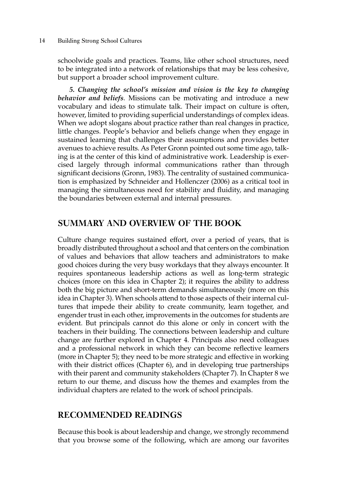schoolwide goals and practices. Teams, like other school structures, need to be integrated into a network of relationships that may be less cohesive, but support a broader school improvement culture.

*5. Changing the school's mission and vision is the key to changing behavior and beliefs*. Missions can be motivating and introduce a new vocabulary and ideas to stimulate talk. Their impact on culture is often, however, limited to providing superficial understandings of complex ideas. When we adopt slogans about practice rather than real changes in practice, little changes. People's behavior and beliefs change when they engage in sustained learning that challenges their assumptions and provides better avenues to achieve results. As Peter Gronn pointed out some time ago, talking is at the center of this kind of administrative work. Leadership is exercised largely through informal communications rather than through significant decisions (Gronn, 1983). The centrality of sustained communication is emphasized by Schneider and Hollenczer (2006) as a critical tool in managing the simultaneous need for stability and fluidity, and managing the boundaries between external and internal pressures.

## **SUMMARY AND OVERVIEW OF THE BOOK**

Culture change requires sustained effort, over a period of years, that is broadly distributed throughout a school and that centers on the combination of values and behaviors that allow teachers and administrators to make good choices during the very busy workdays that they always encounter. It requires spontaneous leadership actions as well as long-term strategic choices (more on this idea in Chapter 2); it requires the ability to address both the big picture and short-term demands simultaneously (more on this idea in Chapter 3). When schools attend to those aspects of their internal cultures that impede their ability to create community, learn together, and engender trust in each other, improvements in the outcomes for students are evident. But principals cannot do this alone or only in concert with the teachers in their building. The connections between leadership and culture change are further explored in Chapter 4. Principals also need colleagues and a professional network in which they can become reflective learners (more in Chapter 5); they need to be more strategic and effective in working with their district offices (Chapter 6), and in developing true partnerships with their parent and community stakeholders (Chapter 7). In Chapter 8 we return to our theme, and discuss how the themes and examples from the individual chapters are related to the work of school principals.

# **RECOMMENDED READINGS**

Because this book is about leadership and change, we strongly recommend that you browse some of the following, which are among our favorites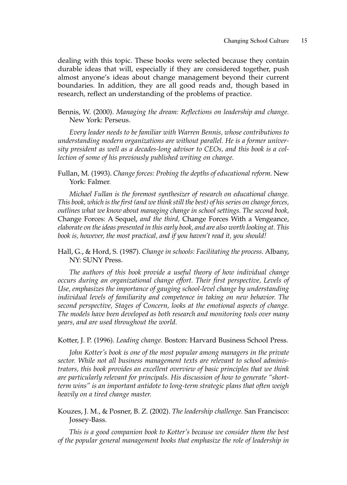dealing with this topic. These books were selected because they contain durable ideas that will, especially if they are considered together, push almost anyone's ideas about change management beyond their current boundaries. In addition, they are all good reads and, though based in research, reflect an understanding of the problems of practice.

Bennis, W. (2000). *Managing the dream: Reflections on leadership and change.* New York: Perseus.

*Every leader needs to be familiar with Warren Bennis, whose contributions to understanding modern organizations are without parallel. He is a former university president as well as a decades-long advisor to CEOs, and this book is a collection of some of his previously published writing on change.*

Fullan, M. (1993). *Change forces: Probing the depths of educational reform.* New York: Falmer.

*Michael Fullan is the foremost synthesizer of research on educational change. This book, which is the first (and we think still the best) of his series on change forces, outlines what we know about managing change in school settings. The second book,* Change Forces: A Sequel, *and the third,* Change Forces With a Vengeance, *elaborate on theideas presented in thisearly book, and are also worth looking at. This book is, however, the most practical, and if you haven't read it, you should!*

Hall, G., & Hord, S. (1987). *Change in schools: Facilitating the process.* Albany, NY: SUNY Press.

*The authors of this book provide a useful theory of how individual change occurs during an organizational change effort. Their first perspective, Levels of Use, emphasizes the importance of gauging school-level change by understanding individual levels of familiarity and competence in taking on new behavior. The second perspective, Stages of Concern, looks at the emotional aspects of change. The models have been developed as both research and monitoring tools over many years, and are used throughout the world.*

Kotter, J. P. (1996). *Leading change.* Boston: Harvard Business School Press.

*John Kotter's book is one of the most popular among managers in the private sector. While not all business management texts are relevant to school administrators, this book provides an excellent overview of basic principles that we think are particularly relevant for principals. His discussion of how to generate "shortterm wins" is an important antidote to long-term strategic plans that often weigh heavily on a tired change master.*

Kouzes, J. M., & Posner, B. Z. (2002). *The leadership challenge.* San Francisco: Jossey-Bass.

*This is a good companion book to Kotter's because we consider them the best of the popular general management books that emphasize the role of leadership in*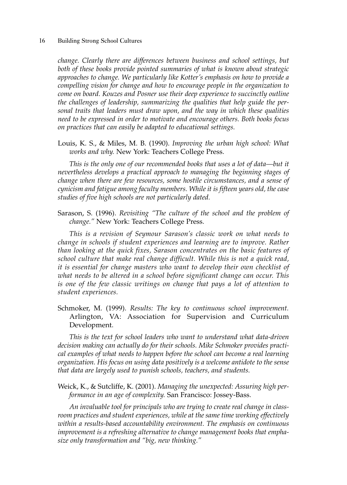*change. Clearly there are differences between business and school settings, but both of these books provide pointed summaries of what is known about strategic approaches to change. We particularly like Kotter's emphasis on how to provide a compelling vision for change and how to encourage people in the organization to come on board. Kouzes and Posner use their deep experience to succinctly outline the challenges of leadership, summarizing the qualities that help guide the personal traits that leaders must draw upon, and the way in which these qualities need to be expressed in order to motivate and encourage others. Both books focus on practices that can easily be adapted to educational settings.*

Louis, K. S., & Miles, M. B. (1990). *Improving the urban high school: What works and why.* New York: Teachers College Press.

*This is the only one of our recommended books that uses a lot of data—but it nevertheless develops a practical approach to managing the beginning stages of change when there are few resources, some hostile circumstances, and a sense of cynicism and fatigue among faculty members. While it is fifteen years old, the case studies of five high schools are not particularly dated.*

Sarason, S. (1996). *Revisiting "The culture of the school and the problem of change."* New York: Teachers College Press.

*This is a revision of Seymour Sarason's classic work on what needs to change in schools if student experiences and learning are to improve. Rather than looking at the quick fixes, Sarason concentrates on the basic features of school culture that make real change difficult. While this is not a quick read, it is essential for change masters who want to develop their own checklist of what needs to be altered in a school before significant change can occur. This is one of the few classic writings on change that pays a lot of attention to student experiences.*

Schmoker, M. (1999). *Results: The key to continuous school improvement.* Arlington, VA: Association for Supervision and Curriculum Development.

*This is the text for school leaders who want to understand what data-driven decision making can actually do for their schools. Mike Schmoker provides practical examples of what needs to happen before the school can become a real learning organization. His focus on using data positively is a welcome antidote to the sense that data are largely used to punish schools, teachers, and students.*

Weick, K., & Sutcliffe, K. (2001). *Managing the unexpected: Assuring high performance in an age of complexity.* San Francisco: Jossey-Bass.

*An invaluable tool for principals who are trying to create real change in classroom practices and student experiences, while at the same time working effectively within a results-based accountability environment. The emphasis on continuous improvement is a refreshing alternative to change management books that emphasize only transformation and "big, new thinking."*